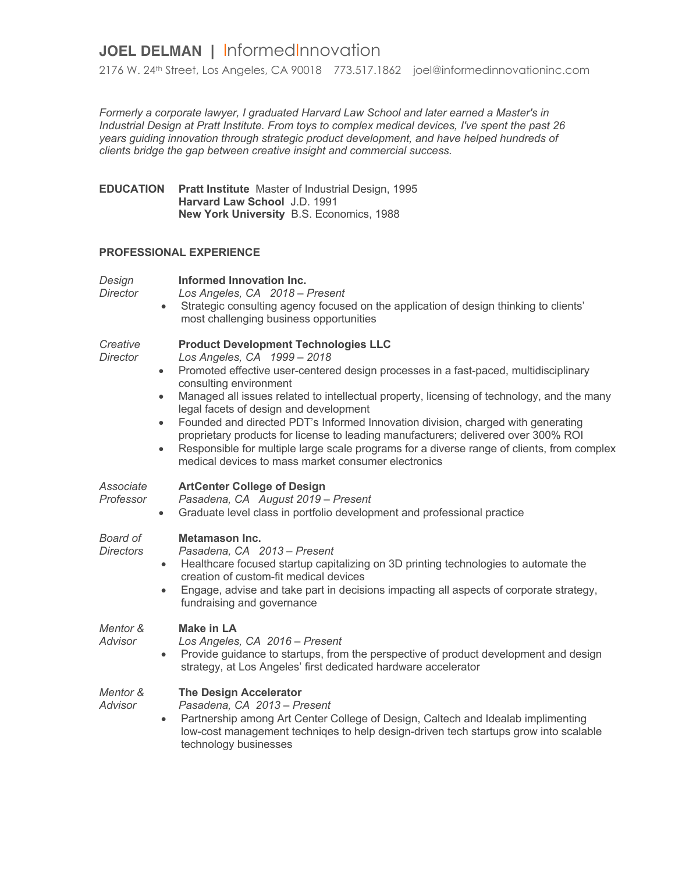## **JOEL DELMAN |** InformedInnovation

2176 W. 24th Street, Los Angeles, CA 90018 773.517.1862 joel@informedinnovationinc.com

*Formerly a corporate lawyer, I graduated Harvard Law School and later earned a Master's in Industrial Design at Pratt Institute. From toys to complex medical devices, I've spent the past 26 years guiding innovation through strategic product development, and have helped hundreds of clients bridge the gap between creative insight and commercial success.*

**EDUCATION Pratt Institute** Master of Industrial Design, 1995 **Harvard Law School** J.D. 1991 **New York University** B.S. Economics, 1988

## **PROFESSIONAL EXPERIENCE**

| Design<br>Director           | Informed Innovation Inc.<br>Los Angeles, CA 2018 - Present<br>• Strategic consulting agency focused on the application of design thinking to clients'<br>most challenging business opportunities                                                                                                                                                                                                                                                                                                                                                                                                                                                                                                                        |
|------------------------------|-------------------------------------------------------------------------------------------------------------------------------------------------------------------------------------------------------------------------------------------------------------------------------------------------------------------------------------------------------------------------------------------------------------------------------------------------------------------------------------------------------------------------------------------------------------------------------------------------------------------------------------------------------------------------------------------------------------------------|
| Creative<br>Director         | <b>Product Development Technologies LLC</b><br>Los Angeles, CA 1999 - 2018<br>Promoted effective user-centered design processes in a fast-paced, multidisciplinary<br>$\bullet$<br>consulting environment<br>Managed all issues related to intellectual property, licensing of technology, and the many<br>$\bullet$<br>legal facets of design and development<br>Founded and directed PDT's Informed Innovation division, charged with generating<br>$\bullet$<br>proprietary products for license to leading manufacturers; delivered over 300% ROI<br>Responsible for multiple large scale programs for a diverse range of clients, from complex<br>$\bullet$<br>medical devices to mass market consumer electronics |
| Associate<br>Professor       | <b>ArtCenter College of Design</b><br>Pasadena, CA August 2019 - Present<br>Graduate level class in portfolio development and professional practice<br>$\bullet$                                                                                                                                                                                                                                                                                                                                                                                                                                                                                                                                                        |
| Board of<br><b>Directors</b> | Metamason Inc.<br>Pasadena, CA 2013 - Present<br>Healthcare focused startup capitalizing on 3D printing technologies to automate the<br>$\bullet$<br>creation of custom-fit medical devices<br>Engage, advise and take part in decisions impacting all aspects of corporate strategy,<br>$\bullet$<br>fundraising and governance                                                                                                                                                                                                                                                                                                                                                                                        |
| Mentor &<br>Advisor          | <b>Make in LA</b><br>Los Angeles, CA 2016 - Present<br>Provide guidance to startups, from the perspective of product development and design<br>$\bullet$<br>strategy, at Los Angeles' first dedicated hardware accelerator                                                                                                                                                                                                                                                                                                                                                                                                                                                                                              |
| Mentor &<br>Advisor          | <b>The Design Accelerator</b><br>Pasadena, CA 2013 - Present<br>Partnership among Art Center College of Design, Caltech and Idealab implimenting<br>$\bullet$<br>low-cost management techniqes to help design-driven tech startups grow into scalable<br>technology businesses                                                                                                                                                                                                                                                                                                                                                                                                                                          |